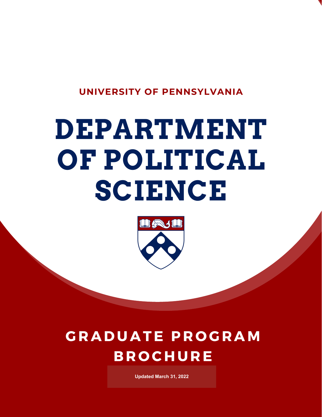

# **DEPARTMENT OF POLITICAL SCIENCE**



# **G R A D U A TE P R O G R A M B R O C H U R E**

**Updated March 31, 2022** *ed 02/11/2021*

*Updat*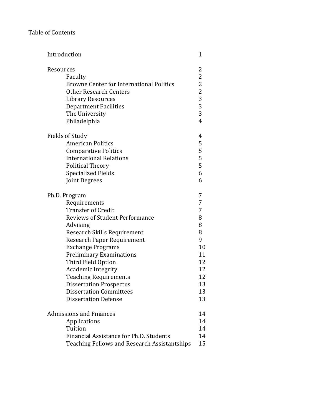# Table of Contents

| Introduction                                    | $\mathbf{1}$   |
|-------------------------------------------------|----------------|
| Resources                                       | 2              |
| Faculty                                         | $\overline{2}$ |
| <b>Browne Center for International Politics</b> | 2              |
| <b>Other Research Centers</b>                   | $\overline{c}$ |
| <b>Library Resources</b>                        | 3              |
| <b>Department Facilities</b>                    | $\overline{3}$ |
| The University                                  | 3              |
| Philadelphia                                    | $\overline{4}$ |
| Fields of Study                                 | 4              |
| <b>American Politics</b>                        | 5              |
| <b>Comparative Politics</b>                     | 5              |
| <b>International Relations</b>                  | 5              |
| Political Theory                                | 5              |
| <b>Specialized Fields</b>                       | 6              |
| Joint Degrees                                   | 6              |
| Ph.D. Program                                   | 7              |
| Requirements                                    | 7              |
| <b>Transfer of Credit</b>                       | 7              |
| <b>Reviews of Student Performance</b>           | 8              |
| Advising                                        | 8              |
| Research Skills Requirement                     | 8              |
| <b>Research Paper Requirement</b>               | 9              |
| <b>Exchange Programs</b>                        | 10             |
| <b>Preliminary Examinations</b>                 | 11             |
| Third Field Option                              | 12             |
| <b>Academic Integrity</b>                       | 12             |
| <b>Teaching Requirements</b>                    | 12             |
| <b>Dissertation Prospectus</b>                  | 13             |
| <b>Dissertation Committees</b>                  | 13             |
| <b>Dissertation Defense</b>                     | 13             |
| <b>Admissions and Finances</b>                  | 14             |
| Applications                                    | 14             |
| Tuition                                         | 14             |
| Financial Assistance for Ph.D. Students         | 14             |
| Teaching Fellows and Research Assistantships    | 15             |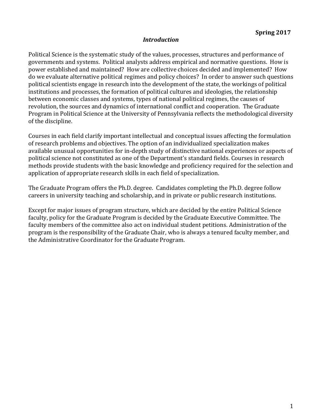#### *Introduction*

Political Science is the systematic study of the values, processes, structures and performance of governments and systems. Political analysts address empirical and normative questions. How is power established and maintained? How are collective choices decided and implemented? How do we evaluate alternative political regimes and policy choices? In order to answer such questions political scientists engage in research into the development of the state, the workings of political institutions and processes, the formation of political cultures and ideologies, the relationship between economic classes and systems, types of national political regimes, the causes of revolution, the sources and dynamics of international conflict and cooperation. The Graduate Program in Political Science at the University of Pennsylvania reflects the methodological diversity of the discipline.

Courses in each field clarify important intellectual and conceptual issues affecting the formulation of research problems and objectives. The option of an individualized specialization makes available unusual opportunities for in-depth study of distinctive national experiences or aspects of political science not constituted as one of the Department's standard fields. Courses in research methods provide students with the basic knowledge and proficiency required for the selection and application of appropriate research skills in each field of specialization.

The Graduate Program offers the Ph.D. degree. Candidates completing the Ph.D. degree follow careers in university teaching and scholarship, and in private or public research institutions.

Except for major issues of program structure, which are decided by the entire Political Science faculty, policy for the Graduate Program is decided by the Graduate Executive Committee. The faculty members of the committee also act on individual student petitions. Administration of the program is the responsibility of the Graduate Chair, who is always a tenured faculty member, and the Administrative Coordinator for the Graduate Program.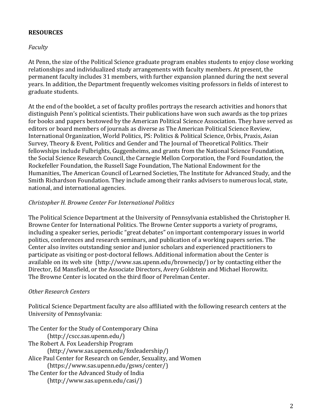# **RESOURCES**

#### *Faculty*

At Penn, the size of the Political Science graduate program enables students to enjoy close working relationships and individualized study arrangements with faculty members. At present, the permanent faculty includes 31 members, with further expansion planned during the next several years. In addition, the Department frequently welcomes visiting professors in fields of interest to graduate students.

At the end of the booklet, a set of faculty profiles portrays the research activities and honors that distinguish Penn's political scientists. Their publications have won such awards as the top prizes for books and papers bestowed by the American Political Science Association. They have served as editors or board members of journals as diverse as The American Political Science Review, International Organization, World Politics, PS: Politics & Political Science, Orbis, Praxis, Asian Survey, Theory & Event, Politics and Gender and The Journal of Theoretical Politics. Their fellowships include Fulbrights, Guggenheims, and grants from the National Science Foundation, the Social Science Research Council, the Carnegie Mellon Corporation, the Ford Foundation, the Rockefeller Foundation, the Russell Sage Foundation, The National Endowment for the Humanities, The American Council of Learned Societies, The Institute for Advanced Study, and the Smith Richardson Foundation. They include among their ranks advisers to numerous local, state, national, and international agencies.

#### *Christopher H. Browne Center For International Politics*

The Political Science Department at the University of Pennsylvania established the Christopher H. Browne Center for International Politics. The Browne Center supports a variety of programs, including a speaker series, periodic "great debates" on important contemporary issues in world politics, conferences and research seminars, and publication of a working papers series. The Center also invites outstanding senior and junior scholars and experienced practitioners to participate as visiting or post-doctoral fellows. Additional information about the Center is available on its web site (http://www.sas.upenn.edu/brownecip/) or by contacting either the Director, Ed Mansfield, or the Associate Directors, Avery Goldstein and Michael Horowitz. The Browne Center is located on the third floor of Perelman Center.

#### *Other Research Centers*

Political Science Department faculty are also affiliated with the following research centers at the University of Pennsylvania:

The Center for the Study of Contemporary China (http://cscc.sas.upenn.edu/) The Robert A. Fox Leadership Program (http://www.sas.upenn.edu/foxleadership/) Alice Paul Center for Research on Gender, Sexuality, and Women (https://www.sas.upenn.edu/gsws/center/) The Center for the Advanced Study of India (http://www.sas.upenn.edu/casi/)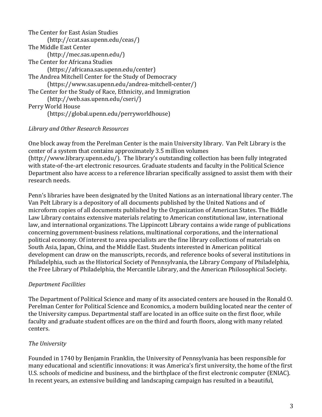| The Center for East Asian Studies                            |
|--------------------------------------------------------------|
| (http://ccat.sas.upenn.edu/ceas/                             |
| The Middle East Center                                       |
| (http://mec.sas.upenn.edu/)                                  |
| The Center for Africana Studies                              |
| (https://africana.sas.upenn.edu/center)                      |
| The Andrea Mitchell Center for the Study of Democracy        |
| (https://www.sas.upenn.edu/andrea-mitchell-center/)          |
| The Center for the Study of Race, Ethnicity, and Immigration |
| (http://web.sas.upenn.edu/cseri/)                            |
| Perry World House                                            |
| (https://global.upenn.edu/perryworldhouse)                   |

# *Library and Other Research Resources*

One block away from the Perelman Center is the main University library. Van Pelt Library is the center of a system that contains approximately 3.5 million volumes (http://www.library.upenn.edu/). The library's outstanding collection has been fully integrated with state-of-the-art electronic resources. Graduate students and faculty in the Political Science Department also have access to a reference librarian specifically assigned to assist them with their research needs.

Penn's libraries have been designated by the United Nations as an international library center. The Van Pelt Library is a depository of all documents published by the United Nations and of microform copies of all documents published by the Organization of American States. The Biddle Law Library contains extensive materials relating to American constitutional law, international law, and international organizations. The Lippincott Library contains a wide range of publications concerning government-business relations, multinational corporations, and the international political economy. Of interest to area specialists are the fine library collections of materials on South Asia, Japan, China, and the Middle East. Students interested in American political development can draw on the manuscripts, records, and reference books of several institutions in Philadelphia, such as the Historical Society of Pennsylvania, the Library Company of Philadelphia, the Free Library of Philadelphia, the Mercantile Library, and the American Philosophical Society.

# *Department Facilities*

The Department of Political Science and many of its associated centers are housed in the Ronald O. Perelman Center for Political Science and Economics, a modern building located near the center of the University campus. Departmental staff are located in an office suite on the first floor, while faculty and graduate student offices are on the third and fourth floors, along with many related centers.

# *The University*

Founded in 1740 by Benjamin Franklin, the University of Pennsylvania has been responsible for many educational and scientific innovations: it was America's first university, the home of the first U.S. schools of medicine and business, and the birthplace of the first electronic computer (ENIAC). In recent years, an extensive building and landscaping campaign has resulted in a beautiful,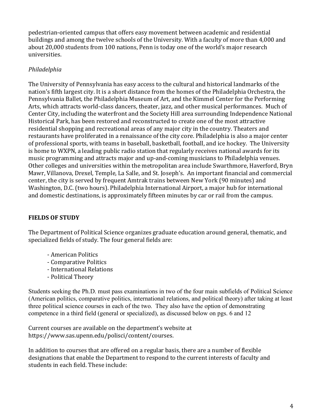pedestrian-oriented campus that offers easy movement between academic and residential buildings and among the twelve schools of the University. With a faculty of more than 4,000 and about 20,000 students from 100 nations, Penn is today one of the world's major research universities.

# *Philadelphia*

The University of Pennsylvania has easy access to the cultural and historical landmarks of the nation's fifth largest city. It is a short distance from the homes of the Philadelphia Orchestra, the Pennsylvania Ballet, the Philadelphia Museum of Art, and the Kimmel Center for the Performing Arts, which attracts world-class dancers, theater, jazz, and other musical performances. Much of Center City, including the waterfront and the Society Hill area surrounding Independence National Historical Park, has been restored and reconstructed to create one of the most attractive residential shopping and recreational areas of any major city in the country. Theaters and restaurants have proliferated in a renaissance of the city core. Philadelphia is also a major center of professional sports, with teams in baseball, basketball, football, and ice hockey. The University is home to WXPN, a leading public radio station that regularly receives national awards for its music programming and attracts major and up-and-coming musicians to Philadelphia venues. Other colleges and universities within the metropolitan area include Swarthmore, Haverford, Bryn Mawr, Villanova, Drexel, Temple, La Salle, and St. Joseph's. An important financial and commercial center, the city is served by frequent Amtrak trains between New York (90 minutes) and Washington, D.C. (two hours). Philadelphia International Airport, a major hub for international and domestic destinations, is approximately fifteen minutes by car or rail from the campus.

# **FIELDS OF STUDY**

The Department of Political Science organizes graduate education around general, thematic, and specialized fields of study. The four general fields are:

- American Politics
- Comparative Politics
- International Relations
- Political Theory

Students seeking the Ph.D. must pass examinations in two of the four main subfields of Political Science (American politics, comparative politics, international relations, and political theory) after taking at least three political science courses in each of the two. They also have the option of demonstrating competence in a third field (general or specialized), as discussed below on pgs. 6 and 12

Current courses are available on the department's website at https://www.sas.upenn.edu/polisci/content/courses.

In addition to courses that are offered on a regular basis, there are a number of flexible designations that enable the Department to respond to the current interests of faculty and students in each field. These include: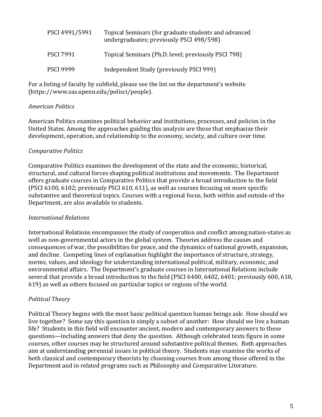| PSCI 4991/5991   | Topical Seminars (for graduate students and advanced<br>undergraduates; previously PSCI 498/598) |
|------------------|--------------------------------------------------------------------------------------------------|
| <b>PSCI 7991</b> | Topical Seminars (Ph.D. level; previously PSCI 798)                                              |
| <b>PSCI 9999</b> | Independent Study (previously PSCI 999)                                                          |

For a listing of faculty by subfield, please see the list on the department's website (https://www.sas.upenn.edu/polisci/people).

#### *American Politics*

American Politics examines political behavior and institutions, processes, and policies in the United States. Among the approaches guiding this analysis are those that emphasize their development, operation, and relationship to the economy, society, and culture over time.

#### *Comparative Politics*

Comparative Politics examines the development of the state and the economic, historical, structural, and cultural forces shaping political institutions and movements. The Department offers graduate courses in Comparative Politics that provide a broad introduction to the field (PSCI 6100, 6102; previously PSCI 610, 611), as well as courses focusing on more specific substantive and theoretical topics. Courses with a regional focus, both within and outside of the Department, are also available to students.

#### *International Relations*

International Relations encompasses the study of cooperation and conflict among nation-states as well as non-governmental actors in the global system. Theories address the causes and consequences of war, the possibilities for peace, and the dynamics of national growth, expansion, and decline. Competing lines of explanation highlight the importance of structure, strategy, norms, values, and ideology for understanding international political, military, economic, and environmental affairs. The Department's graduate courses in International Relations include several that provide a broad introduction to the field (PSCI 6400, 6402, 6401; previously 600, 618, 619) as well as others focused on particular topics or regions of the world.

#### *Political Theory*

Political Theory begins with the most basic political question human beings ask: How should we live together? Some say this question is simply a subset of another: How should we live a human life? Students in this field will encounter ancient, modern and contemporary answers to these questions—including answers that deny the question. Although celebrated texts figure in some courses, other courses may be structured around substantive political themes. Both approaches aim at understanding perennial issues in political theory. Students may examine the works of both classical and contemporary theorists by choosing courses from among those offered in the Department and in related programs such as Philosophy and Comparative Literature.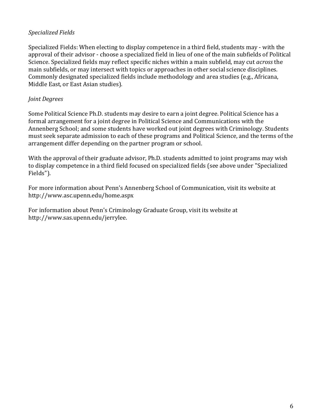#### *Specialized Fields*

Specialized Fields: When electing to display competence in a third field, students may - with the approval of their advisor - choose a specialized field in lieu of one of the main subfields of Political Science. Specialized fields may reflect specific niches within a main subfield, may cut *across* the main subfields, or may intersect with topics or approaches in other social science disciplines. Commonly designated specialized fields include methodology and area studies (e.g., Africana, Middle East, or East Asian studies).

#### *Joint Degrees*

Some Political Science Ph.D. students may desire to earn a joint degree. Political Science has a formal arrangement for a joint degree in Political Science and Communications with the Annenberg School; and some students have worked out joint degrees with Criminology. Students must seek separate admission to each of these programs and Political Science, and the terms of the arrangement differ depending on the partner program or school.

With the approval of their graduate advisor, Ph.D. students admitted to joint programs may wish to display competence in a third field focused on specialized fields (see above under "Specialized Fields").

For more information about Penn's Annenberg School of Communication, visit its website at http://www.asc.upenn.edu/home.aspx

For information about Penn's Criminology Graduate Group, visit its website at http://www.sas.upenn.edu/jerrylee.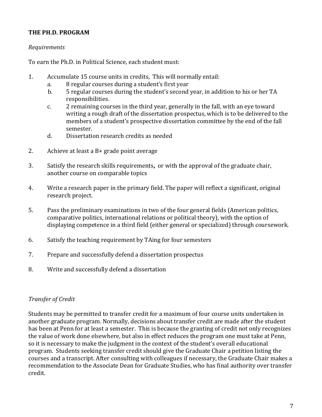# THE PH.D. PROGRAM

#### *Requirements*

To earn the Ph.D. in Political Science, each student must:

- 1. Accumulate 15 course units in credits, This will normally entail:
	- a. 8 regular courses during a student's first year
	- b. 5 regular courses during the student's second year, in addition to his or her TA responsibilities.
	- c.  $\overline{2}$  remaining courses in the third year, generally in the fall, with an eye toward writing a rough draft of the dissertation prospectus, which is to be delivered to the members of a student's prospective dissertation committee by the end of the fall semester.
	- d. Dissertation research credits as needed
- 2. Achieve at least a  $B+$  grade point average
- 3. Satisfy the research skills requirements, or with the approval of the graduate chair, another course on comparable topics
- 4. Write a research paper in the primary field. The paper will reflect a significant, original research project.
- 5. Pass the preliminary examinations in two of the four general fields (American politics, comparative politics, international relations or political theory), with the option of displaying competence in a third field (either general or specialized) through coursework.
- 6. Satisfy the teaching requirement by TAing for four semesters
- 7. Prepare and successfully defend a dissertation prospectus
- 8. Write and successfully defend a dissertation

#### *Transfer of Credit*

Students may be permitted to transfer credit for a maximum of four course units undertaken in another graduate program. Normally, decisions about transfer credit are made after the student has been at Penn for at least a semester. This is because the granting of credit not only recognizes the value of work done elsewhere, but also in effect reduces the program one must take at Penn, so it is necessary to make the judgment in the context of the student's overall educational program. Students seeking transfer credit should give the Graduate Chair a petition listing the courses and a transcript. After consulting with colleagues if necessary, the Graduate Chair makes a recommendation to the Associate Dean for Graduate Studies, who has final authority over transfer credit.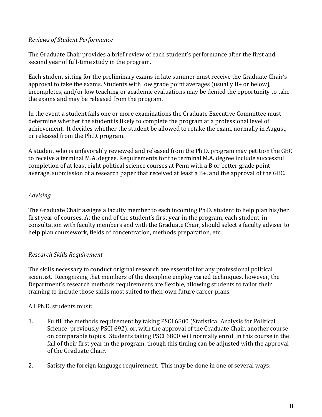#### *Reviews of Student Performance*

The Graduate Chair provides a brief review of each student's performance after the first and second year of full-time study in the program.

Each student sitting for the preliminary exams in late summer must receive the Graduate Chair's approval to take the exams. Students with low grade point averages (usually B+ or below), incompletes, and/or low teaching or academic evaluations may be denied the opportunity to take the exams and may be released from the program.

In the event a student fails one or more examinations the Graduate Executive Committee must determine whether the student is likely to complete the program at a professional level of achievement. It decides whether the student be allowed to retake the exam, normally in August, or released from the Ph.D. program.

A student who is unfavorably reviewed and released from the Ph.D. program may petition the GEC to receive a terminal M.A. degree. Requirements for the terminal M.A. degree include successful completion of at least eight political science courses at Penn with a B or better grade point average, submission of a research paper that received at least a  $B+$ , and the approval of the GEC.

# *Advising*

The Graduate Chair assigns a faculty member to each incoming Ph.D. student to help plan his/her first year of courses. At the end of the student's first year in the program, each student, in consultation with faculty members and with the Graduate Chair, should select a faculty adviser to help plan coursework, fields of concentration, methods preparation, etc.

# *Research Skills Requirement*

The skills necessary to conduct original research are essential for any professional political scientist. Recognizing that members of the discipline employ varied techniques, however, the Department's research methods requirements are flexible, allowing students to tailor their training to include those skills most suited to their own future career plans.

# All Ph.D. students must:

- 1. Fulfill the methods requirement by taking PSCI 6800 (Statistical Analysis for Political Science; previously PSCI 692), or, with the approval of the Graduate Chair, another course on comparable topics. Students taking PSCI 6800 will normally enroll in this course in the fall of their first year in the program, though this timing can be adjusted with the approval of the Graduate Chair.
- 2. Satisfy the foreign language requirement. This may be done in one of several ways: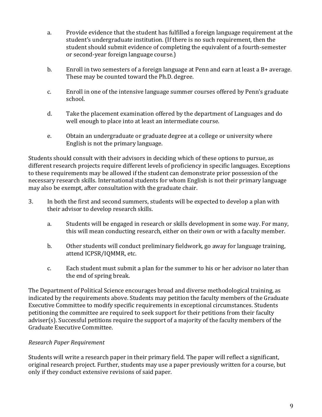- a. Provide evidence that the student has fulfilled a foreign language requirement at the student's undergraduate institution. (If there is no such requirement, then the student should submit evidence of completing the equivalent of a fourth-semester or second-year foreign language course.)
- b. Enroll in two semesters of a foreign language at Penn and earn at least a  $B+$  average. These may be counted toward the Ph.D. degree.
- c. Enroll in one of the intensive language summer courses offered by Penn's graduate school.
- d. Take the placement examination offered by the department of Languages and do well enough to place into at least an intermediate course.
- e. Obtain an undergraduate or graduate degree at a college or university where English is not the primary language.

Students should consult with their advisors in deciding which of these options to pursue, as different research projects require different levels of proficiency in specific languages. Exceptions to these requirements may be allowed if the student can demonstrate prior possession of the necessary research skills. International students for whom English is not their primary language may also be exempt, after consultation with the graduate chair.

- 3. In both the first and second summers, students will be expected to develop a plan with their advisor to develop research skills.
	- a. Students will be engaged in research or skills development in some way. For many, this will mean conducting research, either on their own or with a faculty member.
	- b. Other students will conduct preliminary fieldwork, go away for language training, attend ICPSR/IOMMR, etc.
	- c. Each student must submit a plan for the summer to his or her advisor no later than the end of spring break.

The Department of Political Science encourages broad and diverse methodological training, as indicated by the requirements above. Students may petition the faculty members of the Graduate Executive Committee to modify specific requirements in exceptional circumstances. Students petitioning the committee are required to seek support for their petitions from their faculty adviser(s). Successful petitions require the support of a majority of the faculty members of the Graduate Executive Committee.

# *Research Paper Requirement*

Students will write a research paper in their primary field. The paper will reflect a significant, original research project. Further, students may use a paper previously written for a course, but only if they conduct extensive revisions of said paper.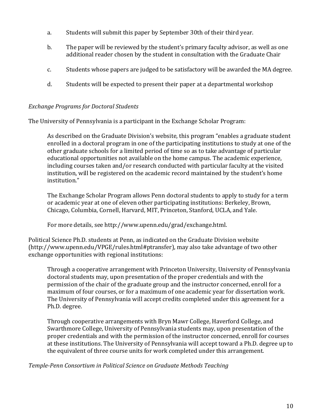- a. Students will submit this paper by September 30th of their third year.
- b. The paper will be reviewed by the student's primary faculty advisor, as well as one additional reader chosen by the student in consultation with the Graduate Chair
- c. Students whose papers are judged to be satisfactory will be awarded the MA degree.
- d. Students will be expected to present their paper at a departmental workshop

#### *Exchange Programs for Doctoral Students*

The University of Pennsylvania is a participant in the Exchange Scholar Program:

As described on the Graduate Division's website, this program "enables a graduate student enrolled in a doctoral program in one of the participating institutions to study at one of the other graduate schools for a limited period of time so as to take advantage of particular educational opportunities not available on the home campus. The academic experience, including courses taken and/or research conducted with particular faculty at the visited institution, will be registered on the academic record maintained by the student's home institution."

The Exchange Scholar Program allows Penn doctoral students to apply to study for a term or academic year at one of eleven other participating institutions: Berkeley, Brown, Chicago, Columbia, Cornell, Harvard, MIT, Princeton, Stanford, UCLA, and Yale.

For more details, see http://www.upenn.edu/grad/exchange.html.

Political Science Ph.D. students at Penn, as indicated on the Graduate Division website  $(\text{http://www.upenn.edu/VPGE/rules.html#ptransfer})$ , may also take advantage of two other exchange opportunities with regional institutions:

Through a cooperative arrangement with Princeton University, University of Pennsylvania doctoral students may, upon presentation of the proper credentials and with the permission of the chair of the graduate group and the instructor concerned, enroll for a maximum of four courses, or for a maximum of one academic year for dissertation work. The University of Pennsylvania will accept credits completed under this agreement for a Ph.D. degree.

Through cooperative arrangements with Bryn Mawr College, Haverford College, and Swarthmore College, University of Pennsylvania students may, upon presentation of the proper credentials and with the permission of the instructor concerned, enroll for courses at these institutions. The University of Pennsylvania will accept toward a Ph.D. degree up to the equivalent of three course units for work completed under this arrangement.

*Temple-Penn Consortium in Political Science on Graduate Methods Teaching*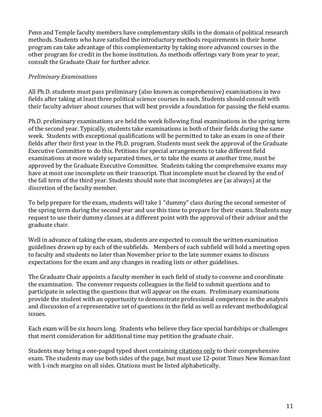Penn and Temple faculty members have complementary skills in the domain of political research methods. Students who have satisfied the introductory methods requirements in their home program can take advantage of this complementarity by taking more advanced courses in the other program for credit in the home institution. As methods offerings vary from year to year, consult the Graduate Chair for further advice.

# *Preliminary Examinations*

All Ph.D. students must pass preliminary (also known as comprehensive) examinations in two fields after taking at least three political science courses in each. Students should consult with their faculty adviser about courses that will best provide a foundation for passing the field exams.

Ph.D. preliminary examinations are held the week following final examinations in the spring term of the second year. Typically, students take examinations in both of their fields during the same week. Students with exceptional qualifications will be permitted to take an exam in one of their fields after their first year in the Ph.D. program. Students must seek the approval of the Graduate Executive Committee to do this. Petitions for special arrangements to take different field examinations at more widely separated times, or to take the exams at another time, must be approved by the Graduate Executive Committee. Students taking the comprehensive exams may have at most one incomplete on their transcript. That incomplete must be cleared by the end of the fall term of the third year. Students should note that incompletes are (as always) at the discretion of the faculty member.

To help prepare for the exam, students will take 1 "dummy" class during the second semester of the spring term during the second year and use this time to prepare for their exams. Students may request to use their dummy classes at a different point with the approval of their advisor and the graduate chair.

Well in advance of taking the exam, students are expected to consult the written examination guidelines drawn up by each of the subfields. Members of each subfield will hold a meeting open to faculty and students no later than November prior to the late summer exams to discuss expectations for the exam and any changes in reading lists or other guidelines.

The Graduate Chair appoints a faculty member in each field of study to convene and coordinate the examination. The convener requests colleagues in the field to submit questions and to participate in selecting the questions that will appear on the exam. Preliminary examinations provide the student with an opportunity to demonstrate professional competence in the analysis and discussion of a representative set of questions in the field as well as relevant methodological issues. 

Each exam will be six hours long. Students who believe they face special hardships or challenges that merit consideration for additional time may petition the graduate chair.

Students may bring a one-paged typed sheet containing citations only to their comprehensive exam. The students may use both sides of the page, but must use 12-point Times New Roman font with 1-inch margins on all sides. Citations must be listed alphabetically.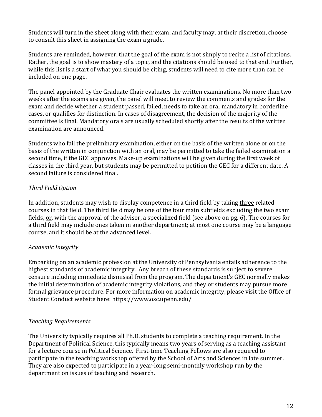Students will turn in the sheet along with their exam, and faculty may, at their discretion, choose to consult this sheet in assigning the exam a grade.

Students are reminded, however, that the goal of the exam is not simply to recite a list of citations. Rather, the goal is to show mastery of a topic, and the citations should be used to that end. Further, while this list is a start of what you should be citing, students will need to cite more than can be included on one page.

The panel appointed by the Graduate Chair evaluates the written examinations. No more than two weeks after the exams are given, the panel will meet to review the comments and grades for the exam and decide whether a student passed, failed, needs to take an oral mandatory in borderline cases, or qualifies for distinction. In cases of disagreement, the decision of the majority of the committee is final. Mandatory orals are usually scheduled shortly after the results of the written examination are announced.

Students who fail the preliminary examination, either on the basis of the written alone or on the basis of the written in conjunction with an oral, may be permitted to take the failed examination a second time, if the GEC approves. Make-up examinations will be given during the first week of classes in the third year, but students may be permitted to petition the GEC for a different date. A second failure is considered final.

# *Third Field Option*

In addition, students may wish to display competence in a third field by taking three related courses in that field. The third field may be one of the four main subfields excluding the two exam fields, or, with the approval of the advisor, a specialized field (see above on pg. 6). The courses for a third field may include ones taken in another department; at most one course may be a language course, and it should be at the advanced level.

# *Academic Integrity*

Embarking on an academic profession at the University of Pennsylvania entails adherence to the highest standards of academic integrity. Any breach of these standards is subject to severe censure including immediate dismissal from the program. The department's GEC normally makes the initial determination of academic integrity violations, and they or students may pursue more formal grievance procedure. For more information on academic integrity, please visit the Office of Student Conduct website here: https://www.osc.upenn.edu/

# *Teaching Requirements*

The University typically requires all Ph.D. students to complete a teaching requirement. In the Department of Political Science, this typically means two years of serving as a teaching assistant for a lecture course in Political Science. First-time Teaching Fellows are also required to participate in the teaching workshop offered by the School of Arts and Sciences in late summer. They are also expected to participate in a year-long semi-monthly workshop run by the department on issues of teaching and research.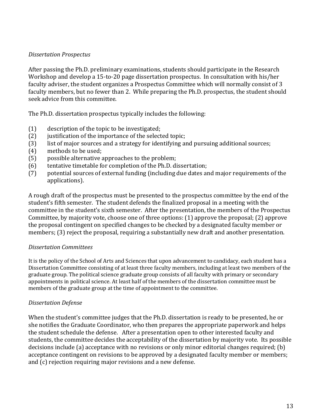#### *Dissertation Prospectus*

After passing the Ph.D. preliminary examinations, students should participate in the Research Workshop and develop a 15-to-20 page dissertation prospectus. In consultation with his/her faculty adviser, the student organizes a Prospectus Committee which will normally consist of 3 faculty members, but no fewer than 2. While preparing the Ph.D. prospectus, the student should seek advice from this committee.

The Ph.D. dissertation prospectus typically includes the following:

- $(1)$  description of the topic to be investigated;
- (2) justification of the importance of the selected topic;
- (3) list of major sources and a strategy for identifying and pursuing additional sources;
- $(4)$  methods to be used;
- (5) possible alternative approaches to the problem;
- $(6)$  tentative timetable for completion of the Ph.D. dissertation;
- (7) potential sources of external funding (including due dates and major requirements of the applications).

A rough draft of the prospectus must be presented to the prospectus committee by the end of the student's fifth semester. The student defends the finalized proposal in a meeting with the committee in the student's sixth semester. After the presentation, the members of the Prospectus Committee, by majority vote, choose one of three options: (1) approve the proposal; (2) approve the proposal contingent on specified changes to be checked by a designated faculty member or members; (3) reject the proposal, requiring a substantially new draft and another presentation.

# *Dissertation Committees*

It is the policy of the School of Arts and Sciences that upon advancement to candidacy, each student has a Dissertation Committee consisting of at least three faculty members, including at least two members of the graduate group. The political science graduate group consists of all faculty with primary or secondary appointments in political science. At least half of the members of the dissertation committee must be members of the graduate group at the time of appointment to the committee.

# *Dissertation Defense*

When the student's committee judges that the Ph.D. dissertation is ready to be presented, he or she notifies the Graduate Coordinator, who then prepares the appropriate paperwork and helps the student schedule the defense. After a presentation open to other interested faculty and students, the committee decides the acceptability of the dissertation by majority vote. Its possible decisions include (a) acceptance with no revisions or only minor editorial changes required; (b) acceptance contingent on revisions to be approved by a designated faculty member or members; and  $(c)$  rejection requiring major revisions and a new defense.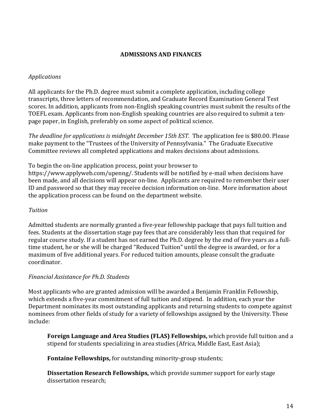#### **ADMISSIONS AND FINANCES**

#### *Applications*

All applicants for the Ph.D. degree must submit a complete application, including college transcripts, three letters of recommendation, and Graduate Record Examination General Test scores. In addition, applicants from non-English speaking countries must submit the results of the TOEFL exam. Applicants from non-English speaking countries are also required to submit a tenpage paper, in English, preferably on some aspect of political science.

The deadline for applications is midnight December 15th EST. The application fee is \$80.00. Please make payment to the "Trustees of the University of Pennsylvania." The Graduate Executive Committee reviews all completed applications and makes decisions about admissions.

To begin the on-line application process, point your browser to

https://www.applyweb.com/upenng/. Students will be notified by e-mail when decisions have been made, and all decisions will appear on-line. Applicants are required to remember their user ID and password so that they may receive decision information on-line. More information about the application process can be found on the department website.

#### *Tuition*

Admitted students are normally granted a five-year fellowship package that pays full tuition and fees. Students at the dissertation stage pay fees that are considerably less than that required for regular course study. If a student has not earned the Ph.D. degree by the end of five years as a fulltime student, he or she will be charged "Reduced Tuition" until the degree is awarded, or for a maximum of five additional years. For reduced tuition amounts, please consult the graduate coordinator.

# *Financial Assistance for Ph.D. Students*

Most applicants who are granted admission will be awarded a Benjamin Franklin Fellowship, which extends a five-year commitment of full tuition and stipend. In addition, each year the Department nominates its most outstanding applicants and returning students to compete against nominees from other fields of study for a variety of fellowships assigned by the University. These include:

**Foreign Language and Area Studies (FLAS) Fellowships,** which provide full tuition and a stipend for students specializing in area studies (Africa, Middle East, East Asia);

**Fontaine Fellowships,** for outstanding minority-group students;

**Dissertation Research Fellowships,** which provide summer support for early stage dissertation research: